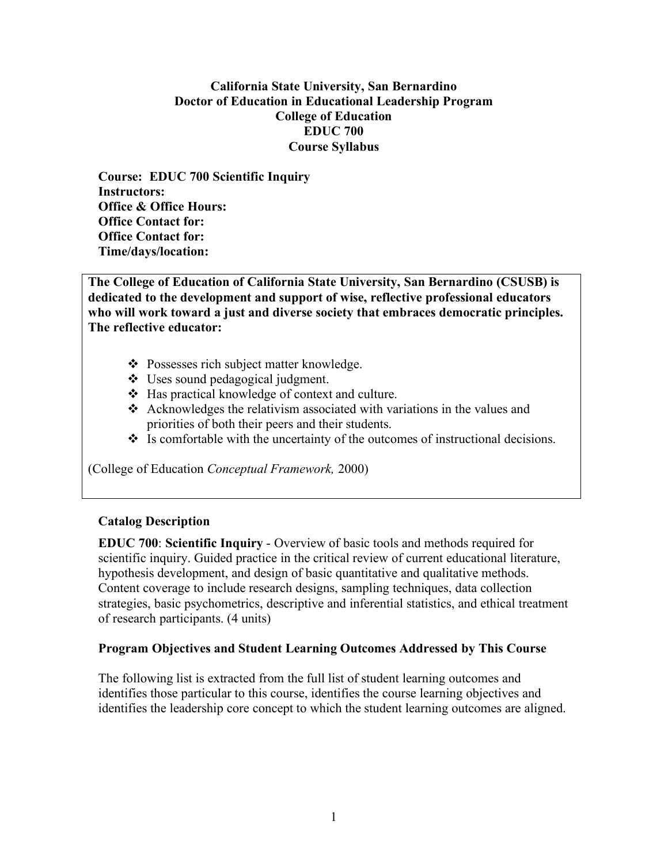### **California State University, San Bernardino Doctor of Education in Educational Leadership Program College of Education EDUC 700 Course Syllabus**

**Course: EDUC 700 Scientific Inquiry Instructors: Office & Office Hours: Office Contact for: Office Contact for: Time/days/location:**

**The College of Education of California State University, San Bernardino (CSUSB) is dedicated to the development and support of wise, reflective professional educators who will work toward a just and diverse society that embraces democratic principles. The reflective educator:**

- ❖ Possesses rich subject matter knowledge.
- Uses sound pedagogical judgment.
- Has practical knowledge of context and culture.
- Acknowledges the relativism associated with variations in the values and priorities of both their peers and their students.
- $\cdot$  Is comfortable with the uncertainty of the outcomes of instructional decisions.

(College of Education *Conceptual Framework,* 2000)

### **Catalog Description**

**EDUC 700**: **Scientific Inquiry** - Overview of basic tools and methods required for scientific inquiry. Guided practice in the critical review of current educational literature, hypothesis development, and design of basic quantitative and qualitative methods. Content coverage to include research designs, sampling techniques, data collection strategies, basic psychometrics, descriptive and inferential statistics, and ethical treatment of research participants. (4 units)

#### **Program Objectives and Student Learning Outcomes Addressed by This Course**

The following list is extracted from the full list of student learning outcomes and identifies those particular to this course, identifies the course learning objectives and identifies the leadership core concept to which the student learning outcomes are aligned.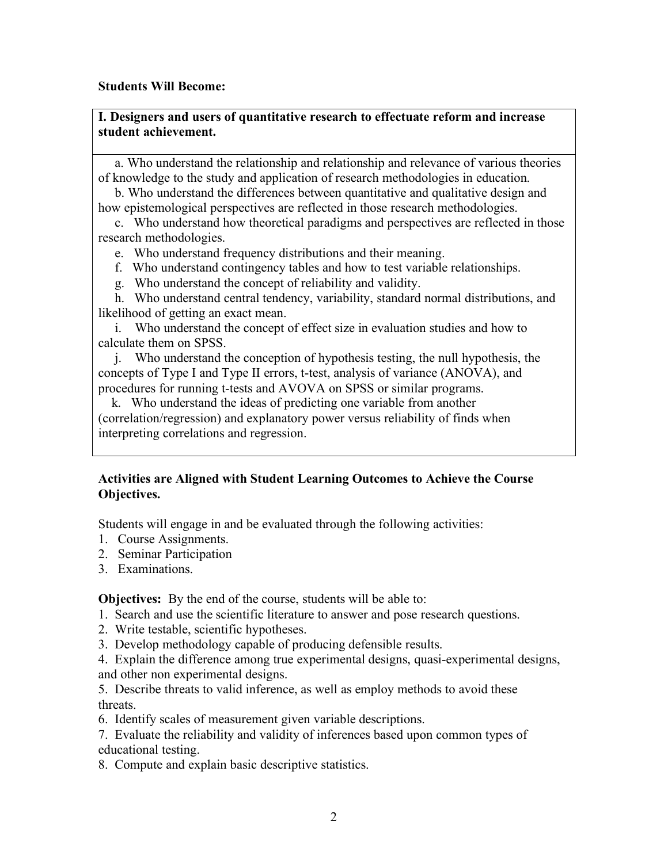#### **Students Will Become:**

### **I. Designers and users of quantitative research to effectuate reform and increase student achievement.**

a. Who understand the relationship and relationship and relevance of various theories of knowledge to the study and application of research methodologies in education.

b. Who understand the differences between quantitative and qualitative design and how epistemological perspectives are reflected in those research methodologies.

c. Who understand how theoretical paradigms and perspectives are reflected in those research methodologies.

e. Who understand frequency distributions and their meaning.

f. Who understand contingency tables and how to test variable relationships.

g. Who understand the concept of reliability and validity.

h. Who understand central tendency, variability, standard normal distributions, and likelihood of getting an exact mean.

i. Who understand the concept of effect size in evaluation studies and how to calculate them on SPSS.

j. Who understand the conception of hypothesis testing, the null hypothesis, the concepts of Type I and Type II errors, t-test, analysis of variance (ANOVA), and procedures for running t-tests and AVOVA on SPSS or similar programs.

k. Who understand the ideas of predicting one variable from another (correlation/regression) and explanatory power versus reliability of finds when interpreting correlations and regression.

## **Activities are Aligned with Student Learning Outcomes to Achieve the Course Objectives.**

Students will engage in and be evaluated through the following activities:

- 1. Course Assignments.
- 2. Seminar Participation
- 3. Examinations.

**Objectives:** By the end of the course, students will be able to:

- 1. Search and use the scientific literature to answer and pose research questions.
- 2. Write testable, scientific hypotheses.
- 3. Develop methodology capable of producing defensible results.

4. Explain the difference among true experimental designs, quasi-experimental designs, and other non experimental designs.

5. Describe threats to valid inference, as well as employ methods to avoid these threats.

6. Identify scales of measurement given variable descriptions.

7. Evaluate the reliability and validity of inferences based upon common types of educational testing.

8. Compute and explain basic descriptive statistics.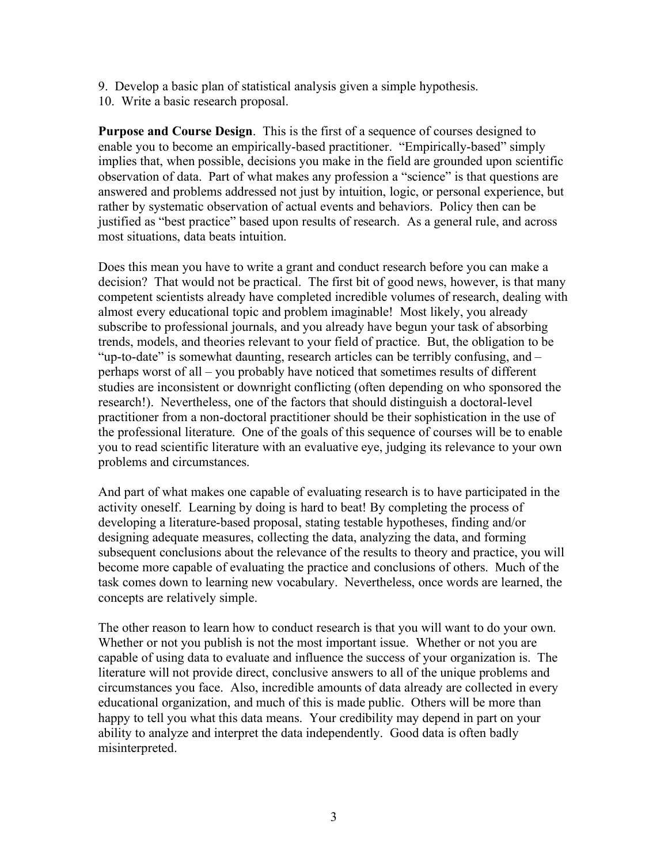9. Develop a basic plan of statistical analysis given a simple hypothesis. 10. Write a basic research proposal.

**Purpose and Course Design**. This is the first of a sequence of courses designed to enable you to become an empirically-based practitioner. "Empirically-based" simply implies that, when possible, decisions you make in the field are grounded upon scientific observation of data. Part of what makes any profession a "science" is that questions are answered and problems addressed not just by intuition, logic, or personal experience, but rather by systematic observation of actual events and behaviors. Policy then can be justified as "best practice" based upon results of research. As a general rule, and across most situations, data beats intuition.

Does this mean you have to write a grant and conduct research before you can make a decision? That would not be practical. The first bit of good news, however, is that many competent scientists already have completed incredible volumes of research, dealing with almost every educational topic and problem imaginable! Most likely, you already subscribe to professional journals, and you already have begun your task of absorbing trends, models, and theories relevant to your field of practice. But, the obligation to be "up-to-date" is somewhat daunting, research articles can be terribly confusing, and – perhaps worst of all – you probably have noticed that sometimes results of different studies are inconsistent or downright conflicting (often depending on who sponsored the research!). Nevertheless, one of the factors that should distinguish a doctoral-level practitioner from a non-doctoral practitioner should be their sophistication in the use of the professional literature. One of the goals of this sequence of courses will be to enable you to read scientific literature with an evaluative eye, judging its relevance to your own problems and circumstances.

And part of what makes one capable of evaluating research is to have participated in the activity oneself. Learning by doing is hard to beat! By completing the process of developing a literature-based proposal, stating testable hypotheses, finding and/or designing adequate measures, collecting the data, analyzing the data, and forming subsequent conclusions about the relevance of the results to theory and practice, you will become more capable of evaluating the practice and conclusions of others. Much of the task comes down to learning new vocabulary. Nevertheless, once words are learned, the concepts are relatively simple.

The other reason to learn how to conduct research is that you will want to do your own. Whether or not you publish is not the most important issue. Whether or not you are capable of using data to evaluate and influence the success of your organization is. The literature will not provide direct, conclusive answers to all of the unique problems and circumstances you face. Also, incredible amounts of data already are collected in every educational organization, and much of this is made public. Others will be more than happy to tell you what this data means. Your credibility may depend in part on your ability to analyze and interpret the data independently. Good data is often badly misinterpreted.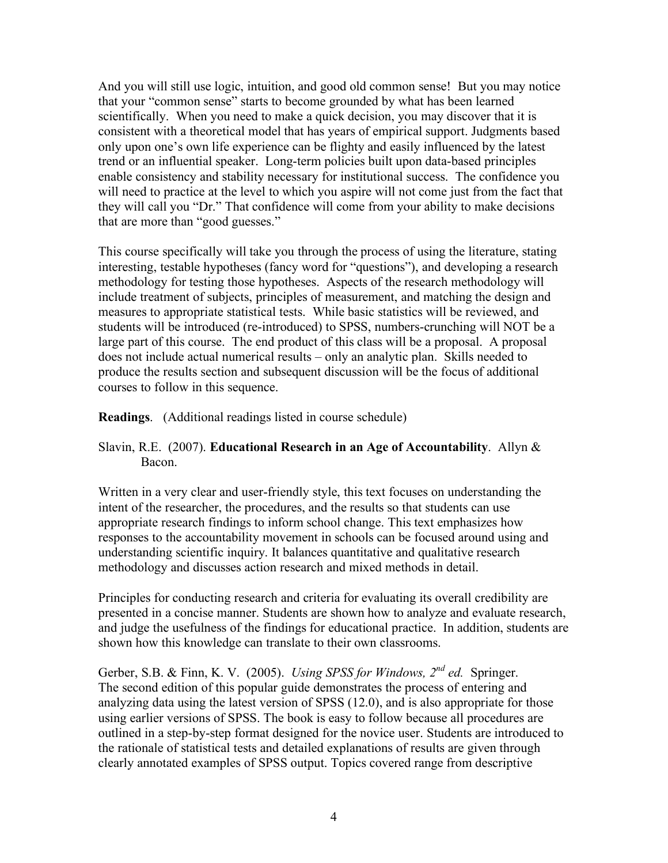And you will still use logic, intuition, and good old common sense! But you may notice that your "common sense" starts to become grounded by what has been learned scientifically. When you need to make a quick decision, you may discover that it is consistent with a theoretical model that has years of empirical support. Judgments based only upon one's own life experience can be flighty and easily influenced by the latest trend or an influential speaker. Long-term policies built upon data-based principles enable consistency and stability necessary for institutional success. The confidence you will need to practice at the level to which you aspire will not come just from the fact that they will call you "Dr." That confidence will come from your ability to make decisions that are more than "good guesses."

This course specifically will take you through the process of using the literature, stating interesting, testable hypotheses (fancy word for "questions"), and developing a research methodology for testing those hypotheses. Aspects of the research methodology will include treatment of subjects, principles of measurement, and matching the design and measures to appropriate statistical tests. While basic statistics will be reviewed, and students will be introduced (re-introduced) to SPSS, numbers-crunching will NOT be a large part of this course. The end product of this class will be a proposal. A proposal does not include actual numerical results – only an analytic plan. Skills needed to produce the results section and subsequent discussion will be the focus of additional courses to follow in this sequence.

**Readings**. (Additional readings listed in course schedule)

### Slavin, R.E. (2007). **Educational Research in an Age of Accountability**. Allyn & Bacon.

Written in a very clear and user-friendly style, this text focuses on understanding the intent of the researcher, the procedures, and the results so that students can use appropriate research findings to inform school change. This text emphasizes how responses to the accountability movement in schools can be focused around using and understanding scientific inquiry. It balances quantitative and qualitative research methodology and discusses action research and mixed methods in detail.

Principles for conducting research and criteria for evaluating its overall credibility are presented in a concise manner. Students are shown how to analyze and evaluate research, and judge the usefulness of the findings for educational practice. In addition, students are shown how this knowledge can translate to their own classrooms.

Gerber, S.B. & Finn, K. V. (2005). *Using SPSS for Windows, 2nd ed.* Springer. The second edition of this popular guide demonstrates the process of entering and analyzing data using the latest version of SPSS (12.0), and is also appropriate for those using earlier versions of SPSS. The book is easy to follow because all procedures are outlined in a step-by-step format designed for the novice user. Students are introduced to the rationale of statistical tests and detailed explanations of results are given through clearly annotated examples of SPSS output. Topics covered range from descriptive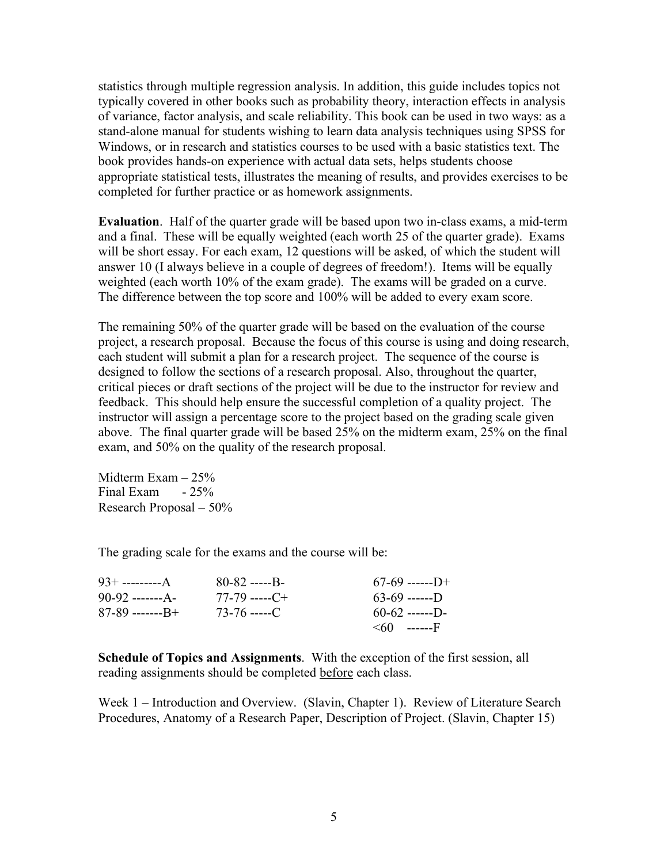statistics through multiple regression analysis. In addition, this guide includes topics not typically covered in other books such as probability theory, interaction effects in analysis of variance, factor analysis, and scale reliability. This book can be used in two ways: as a stand-alone manual for students wishing to learn data analysis techniques using SPSS for Windows, or in research and statistics courses to be used with a basic statistics text. The book provides hands-on experience with actual data sets, helps students choose appropriate statistical tests, illustrates the meaning of results, and provides exercises to be completed for further practice or as homework assignments.

**Evaluation**. Half of the quarter grade will be based upon two in-class exams, a mid-term and a final. These will be equally weighted (each worth 25 of the quarter grade). Exams will be short essay. For each exam, 12 questions will be asked, of which the student will answer 10 (I always believe in a couple of degrees of freedom!). Items will be equally weighted (each worth 10% of the exam grade). The exams will be graded on a curve. The difference between the top score and 100% will be added to every exam score.

The remaining 50% of the quarter grade will be based on the evaluation of the course project, a research proposal. Because the focus of this course is using and doing research, each student will submit a plan for a research project. The sequence of the course is designed to follow the sections of a research proposal. Also, throughout the quarter, critical pieces or draft sections of the project will be due to the instructor for review and feedback. This should help ensure the successful completion of a quality project. The instructor will assign a percentage score to the project based on the grading scale given above. The final quarter grade will be based 25% on the midterm exam, 25% on the final exam, and 50% on the quality of the research proposal.

Midterm Exam – 25% Final Exam  $-25%$ Research Proposal – 50%

The grading scale for the exams and the course will be:

|                      | $80 - 82$ -----B-  | $67-69$ ------D+  |
|----------------------|--------------------|-------------------|
| $90-92$ ------- $A-$ | $77-79$ ----- $C+$ | $63-69$ -------   |
| $87-89$ ----------   | $73 - 76$ -----C   | $60-62$ ------D-  |
|                      |                    | $\leq 60$ ------F |

**Schedule of Topics and Assignments**. With the exception of the first session, all reading assignments should be completed before each class.

Week 1 – Introduction and Overview. (Slavin, Chapter 1). Review of Literature Search Procedures, Anatomy of a Research Paper, Description of Project. (Slavin, Chapter 15)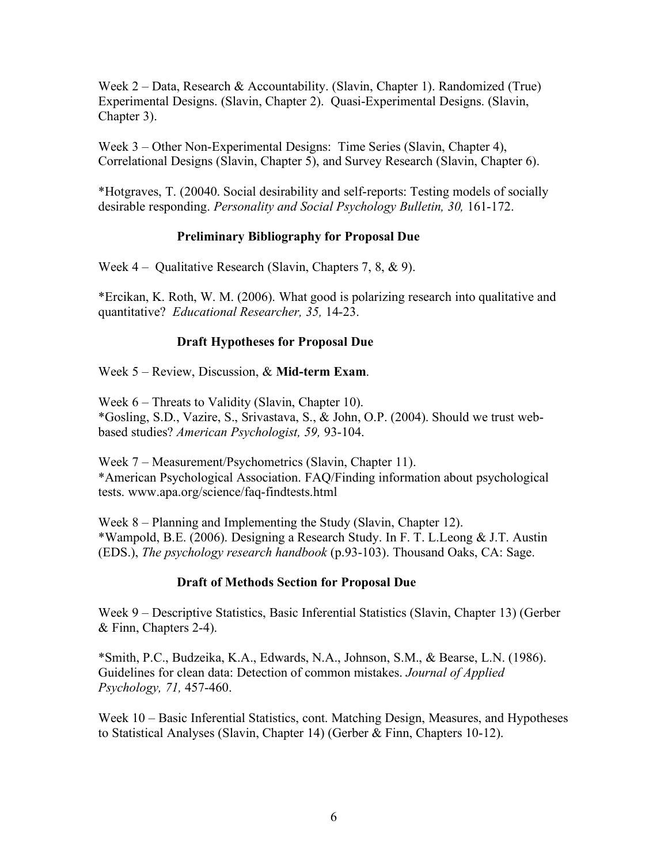Week 2 – Data, Research & Accountability. (Slavin, Chapter 1). Randomized (True) Experimental Designs. (Slavin, Chapter 2). Quasi-Experimental Designs. (Slavin, Chapter 3).

Week 3 – Other Non-Experimental Designs: Time Series (Slavin, Chapter 4), Correlational Designs (Slavin, Chapter 5), and Survey Research (Slavin, Chapter 6).

\*Hotgraves, T. (20040. Social desirability and self-reports: Testing models of socially desirable responding. *Personality and Social Psychology Bulletin, 30,* 161-172.

## **Preliminary Bibliography for Proposal Due**

Week 4 – Qualitative Research (Slavin, Chapters 7, 8, & 9).

\*Ercikan, K. Roth, W. M. (2006). What good is polarizing research into qualitative and quantitative? *Educational Researcher, 35,* 14-23.

## **Draft Hypotheses for Proposal Due**

Week 5 – Review, Discussion, & **Mid-term Exam**.

Week 6 – Threats to Validity (Slavin, Chapter 10). \*Gosling, S.D., Vazire, S., Srivastava, S., & John, O.P. (2004). Should we trust webbased studies? *American Psychologist, 59,* 93-104.

Week 7 – Measurement/Psychometrics (Slavin, Chapter 11). \*American Psychological Association. FAQ/Finding information about psychological tests. www.apa.org/science/faq-findtests.html

Week 8 – Planning and Implementing the Study (Slavin, Chapter 12). \*Wampold, B.E. (2006). Designing a Research Study. In F. T. L.Leong & J.T. Austin (EDS.), *The psychology research handbook* (p.93-103). Thousand Oaks, CA: Sage.

### **Draft of Methods Section for Proposal Due**

Week 9 – Descriptive Statistics, Basic Inferential Statistics (Slavin, Chapter 13) (Gerber & Finn, Chapters 2-4).

\*Smith, P.C., Budzeika, K.A., Edwards, N.A., Johnson, S.M., & Bearse, L.N. (1986). Guidelines for clean data: Detection of common mistakes. *Journal of Applied Psychology, 71,* 457-460.

Week 10 – Basic Inferential Statistics, cont. Matching Design, Measures, and Hypotheses to Statistical Analyses (Slavin, Chapter 14) (Gerber & Finn, Chapters 10-12).